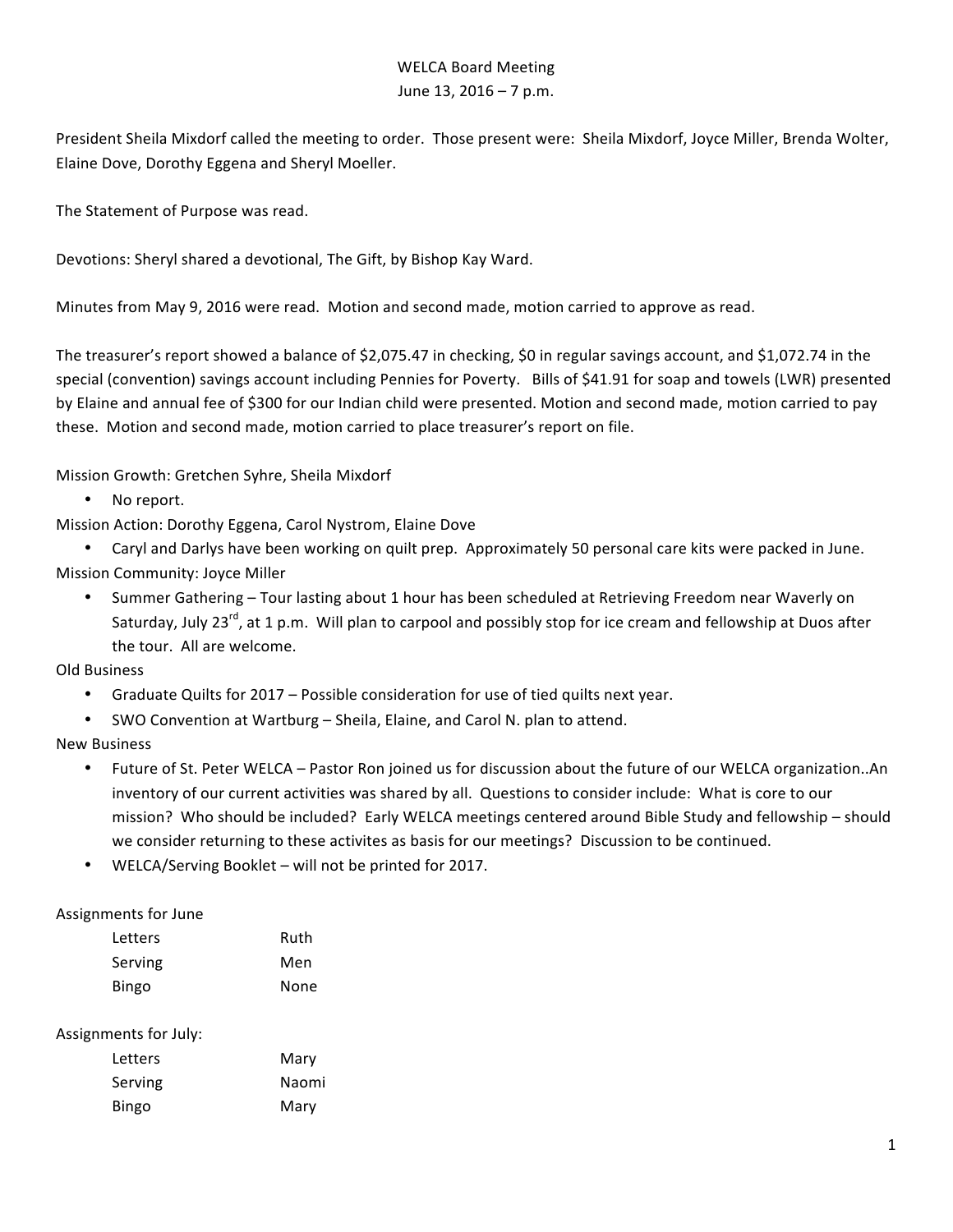## WELCA Board Meeting June  $13$ ,  $2016 - 7$  p.m.

President Sheila Mixdorf called the meeting to order. Those present were: Sheila Mixdorf, Joyce Miller, Brenda Wolter, Elaine Dove, Dorothy Eggena and Sheryl Moeller.

The Statement of Purpose was read.

Devotions: Sheryl shared a devotional, The Gift, by Bishop Kay Ward.

Minutes from May 9, 2016 were read. Motion and second made, motion carried to approve as read.

The treasurer's report showed a balance of \$2,075.47 in checking, \$0 in regular savings account, and \$1,072.74 in the special (convention) savings account including Pennies for Poverty. Bills of \$41.91 for soap and towels (LWR) presented by Elaine and annual fee of \$300 for our Indian child were presented. Motion and second made, motion carried to pay these. Motion and second made, motion carried to place treasurer's report on file.

Mission Growth: Gretchen Syhre, Sheila Mixdorf

• No report.

Mission Action: Dorothy Eggena, Carol Nystrom, Elaine Dove

• Caryl and Darlys have been working on quilt prep. Approximately 50 personal care kits were packed in June. Mission Community: Joyce Miller

• Summer Gathering – Tour lasting about 1 hour has been scheduled at Retrieving Freedom near Waverly on Saturdav, July 23<sup>rd</sup>, at 1 p.m. Will plan to carpool and possibly stop for ice cream and fellowship at Duos after the tour. All are welcome.

Old Business

- Graduate Quilts for 2017 Possible consideration for use of tied quilts next year.
- SWO Convention at Wartburg Sheila, Elaine, and Carol N. plan to attend.

New Business

- Future of St. Peter WELCA Pastor Ron joined us for discussion about the future of our WELCA organization..An inventory of our current activities was shared by all. Questions to consider include: What is core to our mission? Who should be included? Early WELCA meetings centered around Bible Study and fellowship – should we consider returning to these activites as basis for our meetings? Discussion to be continued.
- WELCA/Serving Booklet will not be printed for 2017.

Assignments for June

| Letters | Ruth |
|---------|------|
| Serving | Men  |
| Bingo   | None |

## Assignments for July:

| Letters | Mary  |
|---------|-------|
| Serving | Naomi |
| Bingo   | Mary  |